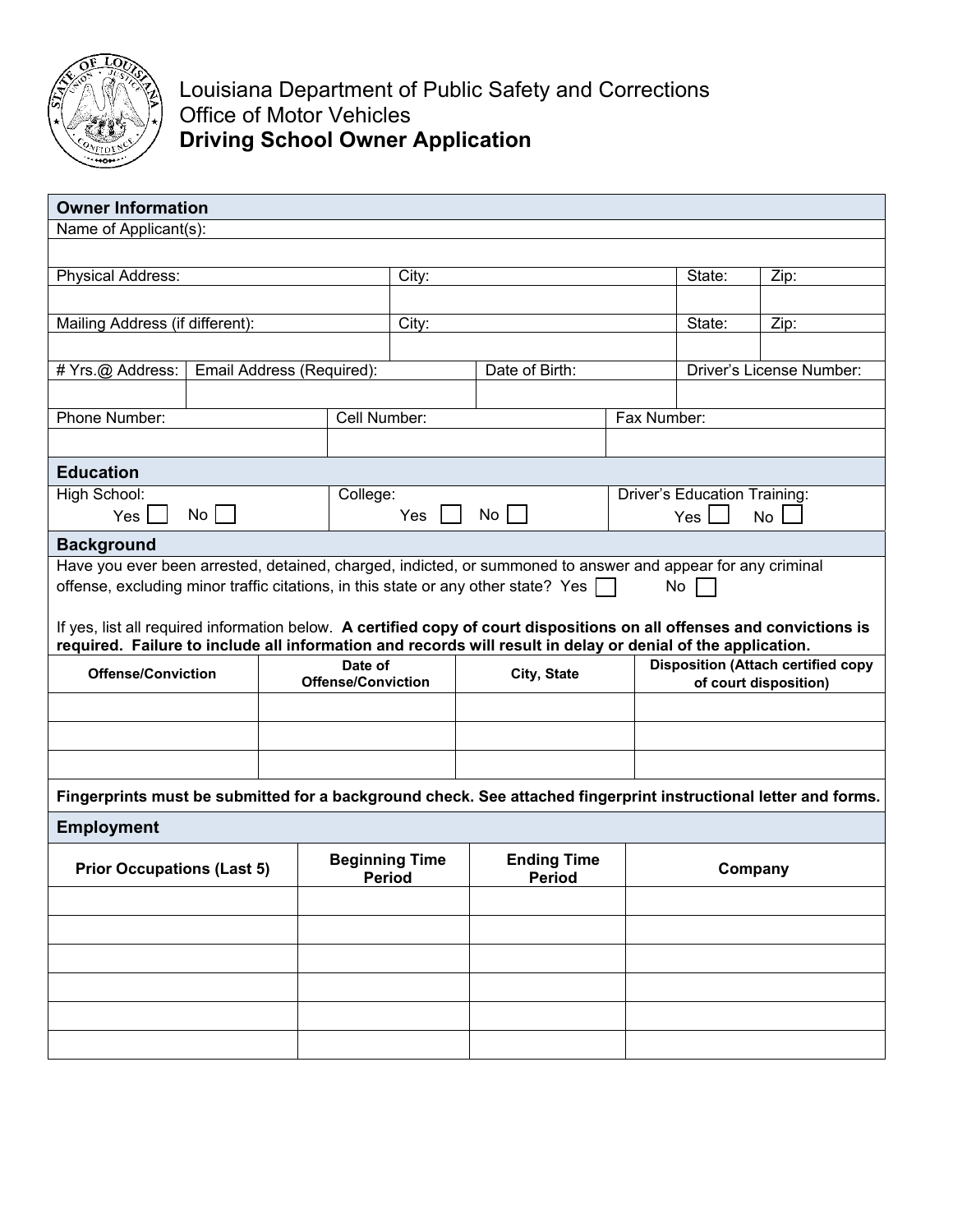

Louisiana Department of Public Safety and Corrections Office of Motor Vehicles **Driving School Owner Application**

| <b>Owner Information</b>                                                                                                                                            |    |                                        |                           |                                     |                                                                                                                 |         |                                     |      |  |  |  |  |
|---------------------------------------------------------------------------------------------------------------------------------------------------------------------|----|----------------------------------------|---------------------------|-------------------------------------|-----------------------------------------------------------------------------------------------------------------|---------|-------------------------------------|------|--|--|--|--|
| Name of Applicant(s):                                                                                                                                               |    |                                        |                           |                                     |                                                                                                                 |         |                                     |      |  |  |  |  |
|                                                                                                                                                                     |    |                                        |                           |                                     |                                                                                                                 |         |                                     |      |  |  |  |  |
| Physical Address:                                                                                                                                                   |    |                                        |                           | City:                               |                                                                                                                 |         | State:                              | Zip: |  |  |  |  |
|                                                                                                                                                                     |    |                                        |                           |                                     |                                                                                                                 |         |                                     |      |  |  |  |  |
| Mailing Address (if different):                                                                                                                                     |    |                                        |                           | City:                               |                                                                                                                 |         | State:                              | Zip: |  |  |  |  |
|                                                                                                                                                                     |    |                                        |                           |                                     |                                                                                                                 |         |                                     |      |  |  |  |  |
| # Yrs.@ Address:<br>Email Address (Required):                                                                                                                       |    |                                        |                           | Date of Birth:                      |                                                                                                                 |         | <b>Driver's License Number:</b>     |      |  |  |  |  |
|                                                                                                                                                                     |    |                                        |                           |                                     |                                                                                                                 |         |                                     |      |  |  |  |  |
| Phone Number:                                                                                                                                                       |    |                                        |                           | Cell Number:                        |                                                                                                                 |         | Fax Number:                         |      |  |  |  |  |
|                                                                                                                                                                     |    |                                        |                           |                                     |                                                                                                                 |         |                                     |      |  |  |  |  |
|                                                                                                                                                                     |    |                                        |                           |                                     |                                                                                                                 |         |                                     |      |  |  |  |  |
| <b>Education</b>                                                                                                                                                    |    |                                        |                           |                                     |                                                                                                                 |         |                                     |      |  |  |  |  |
| High School:                                                                                                                                                        |    |                                        | College:                  |                                     |                                                                                                                 |         | <b>Driver's Education Training:</b> |      |  |  |  |  |
| Yes                                                                                                                                                                 | No |                                        |                           | No<br><b>Yes</b>                    |                                                                                                                 |         | <b>No</b><br>Yes                    |      |  |  |  |  |
| <b>Background</b>                                                                                                                                                   |    |                                        |                           |                                     |                                                                                                                 |         |                                     |      |  |  |  |  |
| Have you ever been arrested, detained, charged, indicted, or summoned to answer and appear for any criminal                                                         |    |                                        |                           |                                     |                                                                                                                 |         |                                     |      |  |  |  |  |
| offense, excluding minor traffic citations, in this state or any other state? Yes $\lceil \cdot \rceil$<br>No                                                       |    |                                        |                           |                                     |                                                                                                                 |         |                                     |      |  |  |  |  |
|                                                                                                                                                                     |    |                                        |                           |                                     |                                                                                                                 |         |                                     |      |  |  |  |  |
| If yes, list all required information below. A certified copy of court dispositions on all offenses and convictions is                                              |    |                                        |                           |                                     |                                                                                                                 |         |                                     |      |  |  |  |  |
| required. Failure to include all information and records will result in delay or denial of the application.<br><b>Disposition (Attach certified copy</b><br>Date of |    |                                        |                           |                                     |                                                                                                                 |         |                                     |      |  |  |  |  |
| <b>Offense/Conviction</b>                                                                                                                                           |    |                                        | <b>Offense/Conviction</b> |                                     | City, State                                                                                                     |         | of court disposition)               |      |  |  |  |  |
|                                                                                                                                                                     |    |                                        |                           |                                     |                                                                                                                 |         |                                     |      |  |  |  |  |
|                                                                                                                                                                     |    |                                        |                           |                                     |                                                                                                                 |         |                                     |      |  |  |  |  |
|                                                                                                                                                                     |    |                                        |                           |                                     |                                                                                                                 |         |                                     |      |  |  |  |  |
|                                                                                                                                                                     |    |                                        |                           |                                     |                                                                                                                 |         |                                     |      |  |  |  |  |
|                                                                                                                                                                     |    |                                        |                           |                                     | Fingerprints must be submitted for a background check. See attached fingerprint instructional letter and forms. |         |                                     |      |  |  |  |  |
| <b>Employment</b>                                                                                                                                                   |    |                                        |                           |                                     |                                                                                                                 |         |                                     |      |  |  |  |  |
| <b>Prior Occupations (Last 5)</b>                                                                                                                                   |    | <b>Beginning Time</b><br><b>Period</b> |                           | <b>Ending Time</b><br><b>Period</b> |                                                                                                                 | Company |                                     |      |  |  |  |  |
|                                                                                                                                                                     |    |                                        |                           |                                     |                                                                                                                 |         |                                     |      |  |  |  |  |
|                                                                                                                                                                     |    |                                        |                           |                                     |                                                                                                                 |         |                                     |      |  |  |  |  |
|                                                                                                                                                                     |    |                                        |                           |                                     |                                                                                                                 |         |                                     |      |  |  |  |  |
|                                                                                                                                                                     |    |                                        |                           |                                     |                                                                                                                 |         |                                     |      |  |  |  |  |
|                                                                                                                                                                     |    |                                        |                           |                                     |                                                                                                                 |         |                                     |      |  |  |  |  |
|                                                                                                                                                                     |    |                                        |                           |                                     |                                                                                                                 |         |                                     |      |  |  |  |  |
|                                                                                                                                                                     |    |                                        |                           |                                     |                                                                                                                 |         |                                     |      |  |  |  |  |